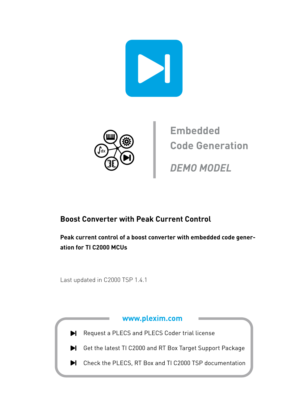



**Embedded Code Generation**

**DEMO MODEL**

## **Boost Converter with Peak Current Control**

**Peak current control of a boost converter with embedded code generation for TI C2000 MCUs**

Last updated in C2000 TSP 1.4.1

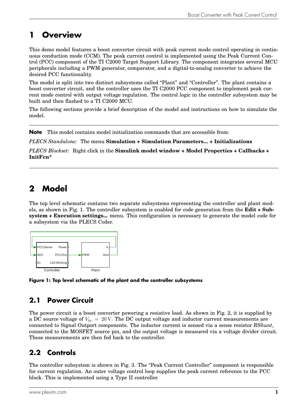# **1 Overview**

This demo model features a boost converter circuit with peak current mode control operating in continuous conduction mode (CCM). The peak current control is implemented using the Peak Current Control (PCC) component of the TI C2000 Target Support Library. The component integrates several MCU peripherals including a PWM generator, comparator, and a digital-to-analog converter to achieve the desired PCC functionality.

The model is split into two distinct subsystems called "Plant" and "Controller". The plant contains a boost converter circuit, and the controller uses the TI C2000 PCC component to implement peak current mode control with output voltage regulation. The control logic in the controller subsystem may be built and then flashed to a TI C2000 MCU.

The following sections provide a brief description of the model and instructions on how to simulate the model.

**Note** This model contains model initialization commands that are accessible from:

*PLECS Standalone:* The menu **Simulation + Simulation Parameters... + Initializations**

*PLECS Blockset:* Right click in the **Simulink model window + Model Properties + Callbacks + InitFcn\***

# **2 Model**

The top level schematic contains two separate subsystems representing the controller and plant models, as shown in Fig. [1.](#page-1-0) The controller subsystem is enabled for code generation from the **Edit + Subsystem + Execution settings...** menu. This configuration is necessary to generate the model code for a subsystem via the PLECS Coder.

<span id="page-1-0"></span>

**Figure 1: Top level schematic of the plant and the controller subsystems**

### **2.1 Power Circuit**

The power circuit is a boost converter powering a resistive load. As shown in Fig. [2,](#page-2-0) it is supplied by a DC source voltage of  $V_{\text{in}} = 20 \text{ V}$ . The DC output voltage and inductor current measurements are connected to Signal Outport components. The inductor current is sensed via a sense resistor *RShunt*, connected to the MOSFET source pin, and the output voltage is measured via a voltage divider circuit. These measurements are then fed back to the controller.

### **2.2 Controls**

The controller subsystem is shown in Fig. [3.](#page-2-1) The "Peak Current Controller" component is responsible for current regulation. An outer voltage control loop supplies the peak current reference to the PCC block. This is implemented using a Type II controller.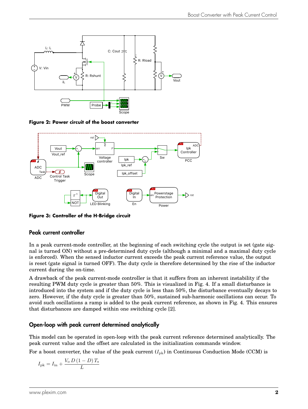<span id="page-2-0"></span>

**Figure 2: Power circuit of the boost converter**

<span id="page-2-1"></span>

**Figure 3: Controller of the H-Bridge circuit**

#### Peak current controller

In a peak current-mode controller, at the beginning of each switching cycle the output is set (gate signal is turned ON) without a pre-determined duty cycle (although a minimal and a maximal duty cycle is enforced). When the sensed inductor current exceeds the peak current reference value, the output is reset (gate signal is turned OFF). The duty cycle is therefore determined by the rise of the inductor current during the on-time.

A drawback of the peak current-mode controller is that it suffers from an inherent instability if the resulting PWM duty cycle is greater than 50%. This is visualized in Fig. [4.](#page-3-0) If a small disturbance is introduced into the system and if the duty cycle is less than 50%, the disturbance eventually decays to zero. However, if the duty cycle is greater than 50%, sustained sub-harmonic oscillations can occur. To avoid such oscillations a ramp is added to the peak current reference, as shown in Fig. [4.](#page-3-0) This ensures that disturbances are damped within one switching cycle [\[2\]](#page-6-0).

#### Open-loop with peak current determined analytically

This model can be operated in open-loop with the peak current reference determined analytically. The peak current value and the offset are calculated in the initialization commands window.

For a boost converter, the value of the peak current  $(I_{pk})$  in Continuous Conduction Mode (CCM) is

$$
I_{\rm pk} = I_{\rm in} + \frac{V_{\rm o}\,D\,(1-D)\,T_{\rm s}}{L}
$$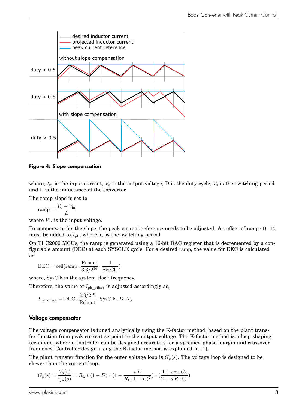<span id="page-3-0"></span>

**Figure 4: Slope compensation**

where,  $I_{\text{in}}$  is the input current,  $V_{\text{o}}$  is the output voltage, D is the duty cycle,  $T_{\text{s}}$  is the switching period and L is the inductance of the converter.

The ramp slope is set to

$$
\text{ramp} = \frac{V_{\text{o}} - V_{\text{in}}}{L}
$$

where  $V_{\text{in}}$  is the input voltage.

To compensate for the slope, the peak current reference needs to be adjusted. An offset of ramp  $\cdot$  D  $\cdot$  T<sub>s</sub> must be added to  $I_{\text{pk}}$ , where  $T_s$  is the switching period.

On TI C2000 MCUs, the ramp is generated using a 16-bit DAC register that is decremented by a configurable amount (DEC) at each SYSCLK cycle. For a desired ramp, the value for DEC is calculated as

$$
DEC = \text{ceil}(\text{ramp} \cdot \frac{\text{Rshunt}}{3.3/2^{16}} \cdot \frac{1}{\text{SysClk}})
$$

where, SysClk is the system clock frequency.

Therefore, the value of  $I_{\text{pk}}$  offset is adjusted accordingly as,

$$
I_{\text{pk\_offset}} = \text{DEC} \cdot \frac{3.3/2^{16}}{\text{Rshunt}} \cdot \text{SysClk} \cdot D \cdot T_{\text{s}}
$$

#### Voltage compensator

The voltage compensator is tuned analytically using the K-factor method, based on the plant transfer function from peak current setpoint to the output voltage. The K-factor method is a loop shaping technique, where a controller can be designed accurately for a specified phase margin and crossover frequency. Controller design using the K-factor method is explained in [\[1\]](#page-6-1).

The plant transfer function for the outer voltage loop is  $G_p(s)$ . The voltage loop is designed to be slower than the current loop.

$$
G_p(s) = \frac{V_o(s)}{i_{pk}(s)} = R_{\rm L} * (1-D) * (1-\frac{s\,L}{R_{\rm L}\,(1-D)^2}) * (\frac{1+s\,r_{\rm C}\,C_{\rm o}}{2+s\,R_{\rm L}\,C_{\rm o}})
$$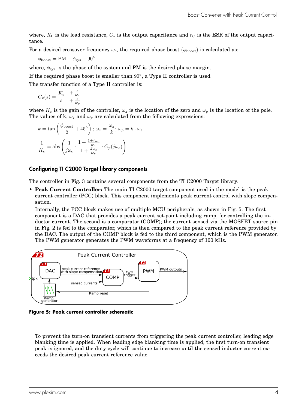where,  $R_{\rm L}$  is the load resistance,  $C_{\rm o}$  is the output capacitance and  $r_{\rm C}$  is the ESR of the output capacitance.

For a desired crossover frequency  $\omega_c$ , the required phase boost ( $\phi_{\text{boost}}$ ) is calculated as:

$$
\phi_{\text{boost}} = \text{PM} - \phi_{\text{sys}} - 90^{\circ}
$$

where,  $\phi_{\rm sys}$  is the phase of the system and PM is the desired phase margin.

If the required phase boost is smaller than  $90^{\circ}$ , a Type II controller is used.

The transfer function of a Type II controller is:

$$
G_{\rm c}(s) = \frac{K_{\rm c}}{s} \frac{1 + \frac{s}{\omega_z}}{1 + \frac{s}{\omega_p}}
$$

where  $K_c$  is the gain of the controller,  $\omega_z$  is the location of the zero and  $\omega_p$  is the location of the pole. The values of k,  $\omega_z$  and  $\omega_p$  are calculated from the following expressions:

$$
k = \tan\left(\frac{\phi_{\text{boost}}}{2} + 45^{\circ}\right); \ \omega_z = \frac{\omega_z}{k}; \ \omega_p = k \cdot \omega_z
$$

$$
\frac{1}{K_c} = \text{abs}\left(\frac{1}{j\omega_c} \cdot \frac{1 + \frac{1+j\omega_c}{\omega_z}}{1 + \frac{J\omega_c}{\omega_p}} \cdot G_p(j\omega_c)\right)
$$

#### Configuring TI C2000 Target library components

The controller in Fig. [3](#page-2-1) contains several components from the TI C2000 Target library.

• **Peak Current Controller:** The main TI C2000 target component used in the model is the peak current controller (PCC) block. This component implements peak current control with slope compensation.

Internally, the PCC block makes use of multiple MCU peripherals, as shown in Fig. [5.](#page-4-0) The first component is a DAC that provides a peak current set-point including ramp, for controlling the inductor current. The second is a comparator (COMP); the current sensed via the MOSFET source pin in Fig. [2](#page-2-0) is fed to the comparator, which is then compared to the peak current reference provided by the DAC. The output of the COMP block is fed to the third component, which is the PWM generator. The PWM generator generates the PWM waveforms at a frequency of 100 kHz.

<span id="page-4-0"></span>

**Figure 5: Peak current controller schematic**

To prevent the turn-on transient currents from triggering the peak current controller, leading edge blanking time is applied. When leading edge blanking time is applied, the first turn-on transient peak is ignored, and the duty cycle will continue to increase until the sensed inductor current exceeds the desired peak current reference value.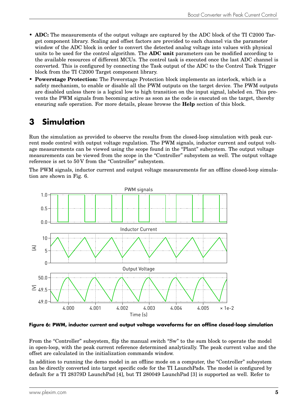- **ADC:** The measurements of the output voltage are captured by the ADC block of the TI C2000 Target component library. Scaling and offset factors are provided to each channel via the parameter window of the ADC block in order to convert the detected analog voltage into values with physical units to be used for the control algorithm. The **ADC unit** parameters can be modified according to the available resources of different MCUs. The control task is executed once the last ADC channel is converted. This is configured by connecting the Task output of the ADC to the Control Task Trigger block from the TI C2000 Target component library.
- **Powerstage Protection:** The Powerstage Protection block implements an interlock, which is a safety mechanism, to enable or disable all the PWM outputs on the target device. The PWM outputs are disabled unless there is a logical low to high transition on the input signal, labeled en. This prevents the PWM signals from becoming active as soon as the code is executed on the target, thereby ensuring safe operation. For more details, please browse the **Help** section of this block.

## **3 Simulation**

Run the simulation as provided to observe the results from the closed-loop simulation with peak current mode control with output voltage regulation. The PWM signals, inductor current and output voltage measurements can be viewed using the scope found in the "Plant" subsystem. The output voltage measurements can be viewed from the scope in the "Controller" subsystem as well. The output voltage reference is set to 50 V from the "Controller" subsystem.

The PWM signals, inductor current and output voltage measurements for an offline closed-loop simulation are shown in Fig. [6.](#page-5-0)

<span id="page-5-0"></span>

**Figure 6: PWM, inductor current and output voltage waveforms for an offline closed-loop simulation**

From the "Controller" subsystem, flip the manual switch "Sw" to the sum block to operate the model in open-loop, with the peak current reference determined analytically. The peak current value and the offset are calculated in the initialization commands window.

In addition to running the demo model in an offline mode on a computer, the "Controller" subsystem can be directly converted into target specific code for the TI LaunchPads. The model is configured by default for a TI 28379D LaunchPad [\[4\]](#page-6-2), but TI 280049 LaunchPad [\[3\]](#page-6-3) is supported as well. Refer to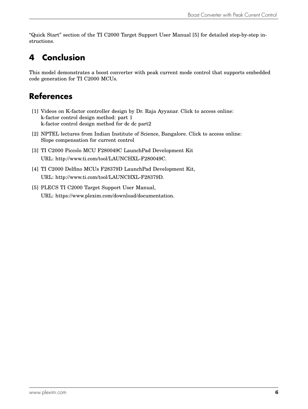"Quick Start" section of the TI C2000 Target Support User Manual [\[5\]](#page-6-4) for detailed step-by-step instructions.

# **4 Conclusion**

This model demonstrates a boost converter with peak current mode control that supports embedded code generation for TI C2000 MCUs.

## **References**

- <span id="page-6-1"></span>[1] Videos on K-factor controller design by Dr. Raja Ayyanar. Click to access online: [k-factor control design method: part 1](https://www.youtube.com/watch?v=ExFV-CPevmU) [k-factor control design method for dc dc part2](https://www.youtube.com/watch?v=RmREot5DUtk)
- <span id="page-6-0"></span>[2] NPTEL lectures from Indian Institute of Science, Bangalore. Click to access online: [Slope compensation for current control](https://youtu.be/b3e0RTWt4W0)
- <span id="page-6-3"></span>[3] TI C2000 Piccolo MCU F280049C LaunchPad Development Kit URL: [http://www.ti.com/tool/LAUNCHXL-F280049C.](http://www.ti.com/tool/LAUNCHXL-F280049C)
- <span id="page-6-2"></span>[4] TI C2000 Delfino MCUs F28379D LaunchPad Development Kit, URL: [http://www.ti.com/tool/LAUNCHXL-F28379D.](http://www.ti.com/tool/LAUNCHXL-F28379D)
- <span id="page-6-4"></span>[5] PLECS TI C2000 Target Support User Manual, URL: [https://www.plexim.com/download/documentation.](https://www.plexim.com/download/documentation)